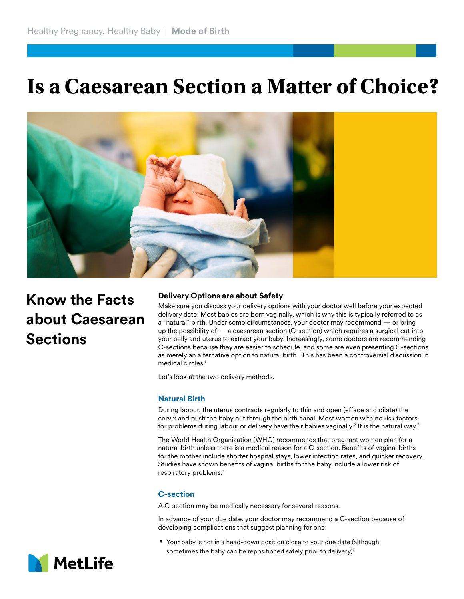# **Is a Caesarean Section a Matter of Choice?**



## **Know the Facts about Caesarean Sections**

#### **Delivery Options are about Safety**

Make sure you discuss your delivery options with your doctor well before your expected delivery date. Most babies are born vaginally, which is why this is typically referred to as a "natural" birth. Under some circumstances, your doctor may recommend — or bring up the possibility of — a caesarean section (C-section) which requires a surgical cut into your belly and uterus to extract your baby. Increasingly, some doctors are recommending C-sections because they are easier to schedule, and some are even presenting C-sections as merely an alternative option to natural birth. This has been a controversial discussion in medical circles.<sup>1</sup>

Let's look at the two delivery methods.

### **Natural Birth**

During labour, the uterus contracts regularly to thin and open (efface and dilate) the cervix and push the baby out through the birth canal. Most women with no risk factors for problems during labour or delivery have their babies vaginally.<sup>2</sup> It is the natural way.<sup>2</sup>

The World Health Organization (WHO) recommends that pregnant women plan for a natural birth unless there is a medical reason for a C-section. Benefits of vaginal births for the mother include shorter hospital stays, lower infection rates, and quicker recovery. Studies have shown benefits of vaginal births for the baby include a lower risk of respiratory problems.3

#### **C-section**

A C-section may be medically necessary for several reasons.

In advance of your due date, your doctor may recommend a C-section because of developing complications that suggest planning for one:

**•** Your baby is not in a head-down position close to your due date (although sometimes the baby can be repositioned safely prior to delivery) $4$